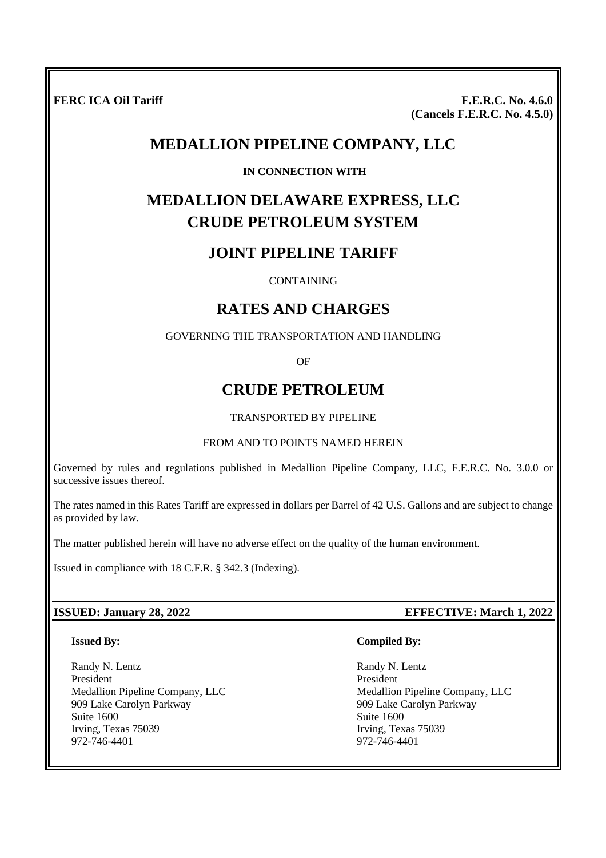**FERC ICA Oil Tariff F.E.R.C. No. 4.6.0 (Cancels F.E.R.C. No. 4.5.0)**

## **MEDALLION PIPELINE COMPANY, LLC**

### **IN CONNECTION WITH**

# **MEDALLION DELAWARE EXPRESS, LLC CRUDE PETROLEUM SYSTEM**

## **JOINT PIPELINE TARIFF**

### CONTAINING

## **RATES AND CHARGES**

GOVERNING THE TRANSPORTATION AND HANDLING

OF

## **CRUDE PETROLEUM**

### TRANSPORTED BY PIPELINE

### FROM AND TO POINTS NAMED HEREIN

Governed by rules and regulations published in Medallion Pipeline Company, LLC, F.E.R.C. No. 3.0.0 or successive issues thereof.

The rates named in this Rates Tariff are expressed in dollars per Barrel of 42 U.S. Gallons and are subject to change as provided by law.

The matter published herein will have no adverse effect on the quality of the human environment.

Issued in compliance with 18 C.F.R. § 342.3 (Indexing).

### **Issued By:**

Randy N. Lentz President Medallion Pipeline Company, LLC 909 Lake Carolyn Parkway Suite 1600 Irving, Texas 75039 972-746-4401

### **ISSUED: January 28, 2022 EFFECTIVE: March 1, 2022**

### **Compiled By:**

Randy N. Lentz President Medallion Pipeline Company, LLC 909 Lake Carolyn Parkway Suite 1600 Irving, Texas 75039 972-746-4401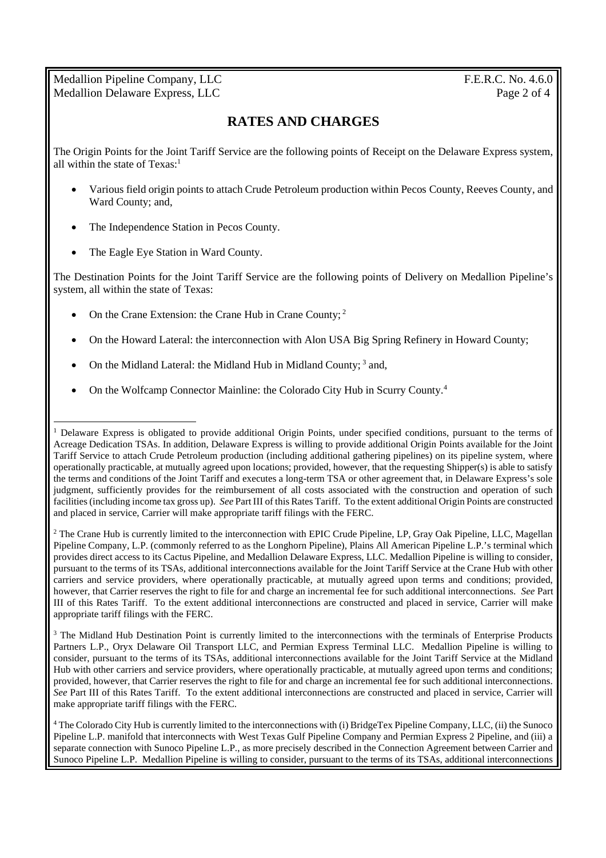Medallion Pipeline Company, LLC F.E.R.C. No. 4.6.0 Medallion Delaware Express, LLC Page 2 of 4

## **RATES AND CHARGES**

The Origin Points for the Joint Tariff Service are the following points of Receipt on the Delaware Express system, all within the state of  $Texas<sup>1</sup>$ 

- Various field origin points to attach Crude Petroleum production within Pecos County, Reeves County, and Ward County; and,
- The Independence Station in Pecos County.
- The Eagle Eye Station in Ward County.

The Destination Points for the Joint Tariff Service are the following points of Delivery on Medallion Pipeline's system, all within the state of Texas:

- On the Crane Extension: the Crane Hub in Crane County; <sup>2</sup>
- On the Howard Lateral: the interconnection with Alon USA Big Spring Refinery in Howard County;
- On the Midland Lateral: the Midland Hub in Midland County;<sup>3</sup> and,
- On the Wolfcamp Connector Mainline: the Colorado City Hub in Scurry County.<sup>4</sup>

<sup>2</sup> The Crane Hub is currently limited to the interconnection with EPIC Crude Pipeline, LP, Gray Oak Pipeline, LLC, Magellan Pipeline Company, L.P. (commonly referred to as the Longhorn Pipeline), Plains All American Pipeline L.P.'s terminal which provides direct access to its Cactus Pipeline, and Medallion Delaware Express, LLC. Medallion Pipeline is willing to consider, pursuant to the terms of its TSAs, additional interconnections available for the Joint Tariff Service at the Crane Hub with other carriers and service providers, where operationally practicable, at mutually agreed upon terms and conditions; provided, however, that Carrier reserves the right to file for and charge an incremental fee for such additional interconnections. *See* Part III of this Rates Tariff. To the extent additional interconnections are constructed and placed in service, Carrier will make appropriate tariff filings with the FERC.

<sup>3</sup> The Midland Hub Destination Point is currently limited to the interconnections with the terminals of Enterprise Products Partners L.P., Oryx Delaware Oil Transport LLC, and Permian Express Terminal LLC. Medallion Pipeline is willing to consider, pursuant to the terms of its TSAs, additional interconnections available for the Joint Tariff Service at the Midland Hub with other carriers and service providers, where operationally practicable, at mutually agreed upon terms and conditions; provided, however, that Carrier reserves the right to file for and charge an incremental fee for such additional interconnections. *See* Part III of this Rates Tariff. To the extent additional interconnections are constructed and placed in service, Carrier will make appropriate tariff filings with the FERC.

<sup>&</sup>lt;sup>1</sup> Delaware Express is obligated to provide additional Origin Points, under specified conditions, pursuant to the terms of Acreage Dedication TSAs. In addition, Delaware Express is willing to provide additional Origin Points available for the Joint Tariff Service to attach Crude Petroleum production (including additional gathering pipelines) on its pipeline system, where operationally practicable, at mutually agreed upon locations; provided, however, that the requesting Shipper(s) is able to satisfy the terms and conditions of the Joint Tariff and executes a long-term TSA or other agreement that, in Delaware Express's sole judgment, sufficiently provides for the reimbursement of all costs associated with the construction and operation of such facilities (including income tax gross up). *See* Part III of this Rates Tariff. To the extent additional Origin Points are constructed and placed in service, Carrier will make appropriate tariff filings with the FERC.

<sup>4</sup> The Colorado City Hub is currently limited to the interconnections with (i) BridgeTex Pipeline Company, LLC, (ii) the Sunoco Pipeline L.P. manifold that interconnects with West Texas Gulf Pipeline Company and Permian Express 2 Pipeline, and (iii) a separate connection with Sunoco Pipeline L.P., as more precisely described in the Connection Agreement between Carrier and Sunoco Pipeline L.P. Medallion Pipeline is willing to consider, pursuant to the terms of its TSAs, additional interconnections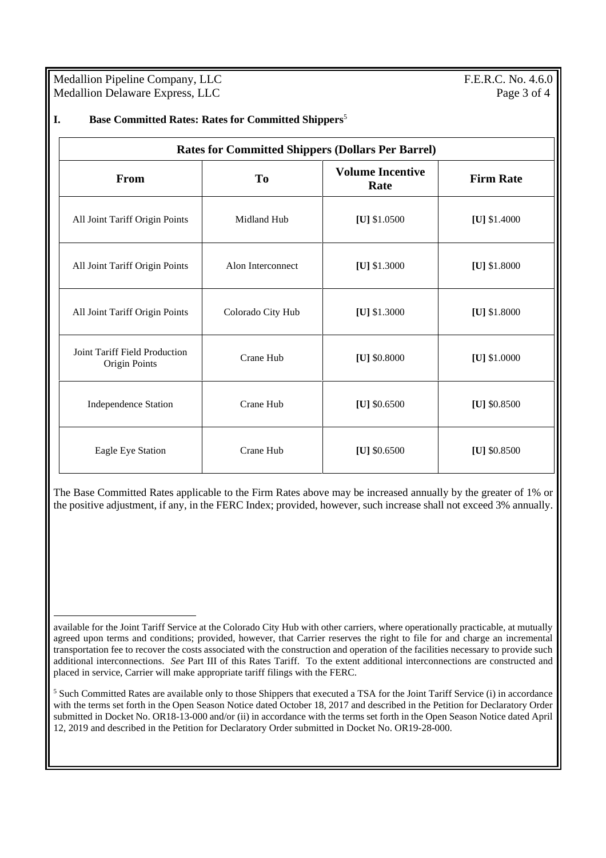Medallion Pipeline Company, LLC F.E.R.C. No. 4.6.0 Medallion Delaware Express, LLC Page 3 of 4

| <b>Rates for Committed Shippers (Dollars Per Barrel)</b> |                   |                                 |                  |
|----------------------------------------------------------|-------------------|---------------------------------|------------------|
| <b>From</b>                                              | T <sub>0</sub>    | <b>Volume Incentive</b><br>Rate | <b>Firm Rate</b> |
| All Joint Tariff Origin Points                           | Midland Hub       | [U] $$1.0500$                   | [U] $$1.4000$    |
| All Joint Tariff Origin Points                           | Alon Interconnect | [U] $$1.3000$                   | [U] $$1.8000$    |
| All Joint Tariff Origin Points                           | Colorado City Hub | [U] \$1.3000                    | [U] $$1.8000$    |
| Joint Tariff Field Production<br>Origin Points           | Crane Hub         | [U] \$0.8000                    | [U] $$1.0000$    |
| <b>Independence Station</b>                              | Crane Hub         | [U] $$0.6500$                   | [U] $$0.8500$    |
| Eagle Eye Station                                        | Crane Hub         | [U] $$0.6500$                   | [U] $$0.8500$    |

The Base Committed Rates applicable to the Firm Rates above may be increased annually by the greater of 1% or the positive adjustment, if any, in the FERC Index; provided, however, such increase shall not exceed 3% annually.

available for the Joint Tariff Service at the Colorado City Hub with other carriers, where operationally practicable, at mutually agreed upon terms and conditions; provided, however, that Carrier reserves the right to file for and charge an incremental transportation fee to recover the costs associated with the construction and operation of the facilities necessary to provide such additional interconnections. *See* Part III of this Rates Tariff. To the extent additional interconnections are constructed and placed in service, Carrier will make appropriate tariff filings with the FERC.

<sup>5</sup> Such Committed Rates are available only to those Shippers that executed a TSA for the Joint Tariff Service (i) in accordance with the terms set forth in the Open Season Notice dated October 18, 2017 and described in the Petition for Declaratory Order submitted in Docket No. OR18-13-000 and/or (ii) in accordance with the terms set forth in the Open Season Notice dated April 12, 2019 and described in the Petition for Declaratory Order submitted in Docket No. OR19-28-000.